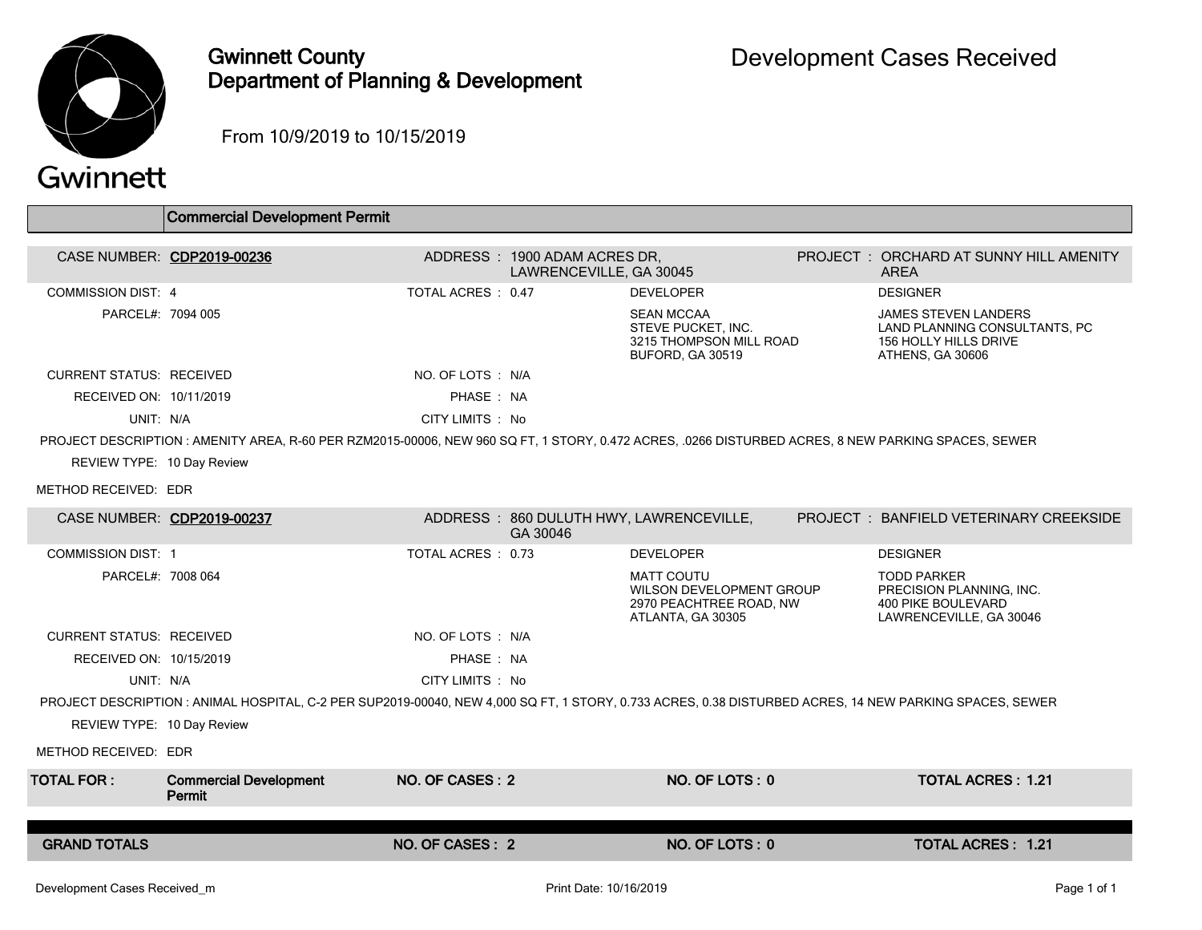

## Gwinnett County Department of Planning & Development

From 10/9/2019 to 10/15/2019

## Gwinnett

|                                                                                                                                                        | <b>Commercial Development Permit</b>    |                   |                                                         |                                                                                               |  |                                                                                                           |  |  |  |
|--------------------------------------------------------------------------------------------------------------------------------------------------------|-----------------------------------------|-------------------|---------------------------------------------------------|-----------------------------------------------------------------------------------------------|--|-----------------------------------------------------------------------------------------------------------|--|--|--|
|                                                                                                                                                        |                                         |                   |                                                         |                                                                                               |  |                                                                                                           |  |  |  |
| CASE NUMBER: CDP2019-00236                                                                                                                             |                                         |                   | ADDRESS: 1900 ADAM ACRES DR,<br>LAWRENCEVILLE, GA 30045 |                                                                                               |  | PROJECT: ORCHARD AT SUNNY HILL AMENITY<br>ARFA                                                            |  |  |  |
| <b>COMMISSION DIST: 4</b>                                                                                                                              |                                         | TOTAL ACRES: 0.47 |                                                         | <b>DEVELOPER</b>                                                                              |  | <b>DESIGNER</b>                                                                                           |  |  |  |
| PARCEL#: 7094 005                                                                                                                                      |                                         |                   |                                                         | <b>SEAN MCCAA</b><br>STEVE PUCKET. INC.<br>3215 THOMPSON MILL ROAD<br>BUFORD, GA 30519        |  | <b>JAMES STEVEN LANDERS</b><br>LAND PLANNING CONSULTANTS, PC<br>156 HOLLY HILLS DRIVE<br>ATHENS, GA 30606 |  |  |  |
| <b>CURRENT STATUS: RECEIVED</b>                                                                                                                        |                                         | NO. OF LOTS : N/A |                                                         |                                                                                               |  |                                                                                                           |  |  |  |
| RECEIVED ON: 10/11/2019                                                                                                                                |                                         | PHASE: NA         |                                                         |                                                                                               |  |                                                                                                           |  |  |  |
| UNIT: N/A                                                                                                                                              |                                         | CITY LIMITS : No  |                                                         |                                                                                               |  |                                                                                                           |  |  |  |
| PROJECT DESCRIPTION: AMENITY AREA, R-60 PER RZM2015-00006, NEW 960 SQ FT, 1 STORY, 0.472 ACRES, .0266 DISTURBED ACRES, 8 NEW PARKING SPACES, SEWER     |                                         |                   |                                                         |                                                                                               |  |                                                                                                           |  |  |  |
| REVIEW TYPE: 10 Day Review                                                                                                                             |                                         |                   |                                                         |                                                                                               |  |                                                                                                           |  |  |  |
| METHOD RECEIVED: EDR                                                                                                                                   |                                         |                   |                                                         |                                                                                               |  |                                                                                                           |  |  |  |
| CASE NUMBER: CDP2019-00237                                                                                                                             |                                         |                   | GA 30046                                                | ADDRESS: 860 DULUTH HWY, LAWRENCEVILLE,                                                       |  | PROJECT: BANFIELD VETERINARY CREEKSIDE                                                                    |  |  |  |
| <b>COMMISSION DIST: 1</b>                                                                                                                              |                                         | TOTAL ACRES: 0.73 |                                                         | <b>DEVELOPER</b>                                                                              |  | <b>DESIGNER</b>                                                                                           |  |  |  |
| PARCEL#: 7008 064                                                                                                                                      |                                         |                   |                                                         | <b>MATT COUTU</b><br>WILSON DEVELOPMENT GROUP<br>2970 PEACHTREE ROAD, NW<br>ATLANTA, GA 30305 |  | <b>TODD PARKER</b><br>PRECISION PLANNING, INC.<br>400 PIKE BOULEVARD<br>LAWRENCEVILLE, GA 30046           |  |  |  |
| <b>CURRENT STATUS: RECEIVED</b>                                                                                                                        |                                         | NO. OF LOTS : N/A |                                                         |                                                                                               |  |                                                                                                           |  |  |  |
| RECEIVED ON: 10/15/2019                                                                                                                                |                                         | PHASE: NA         |                                                         |                                                                                               |  |                                                                                                           |  |  |  |
| UNIT: N/A                                                                                                                                              |                                         | CITY LIMITS : No  |                                                         |                                                                                               |  |                                                                                                           |  |  |  |
| PROJECT DESCRIPTION: ANIMAL HOSPITAL, C-2 PER SUP2019-00040, NEW 4,000 SQ FT, 1 STORY, 0.733 ACRES, 0.38 DISTURBED ACRES, 14 NEW PARKING SPACES, SEWER |                                         |                   |                                                         |                                                                                               |  |                                                                                                           |  |  |  |
| REVIEW TYPE: 10 Day Review                                                                                                                             |                                         |                   |                                                         |                                                                                               |  |                                                                                                           |  |  |  |
| METHOD RECEIVED: EDR                                                                                                                                   |                                         |                   |                                                         |                                                                                               |  |                                                                                                           |  |  |  |
| <b>TOTAL FOR :</b>                                                                                                                                     | <b>Commercial Development</b><br>Permit | NO. OF CASES: 2   |                                                         | NO. OF LOTS: 0                                                                                |  | <b>TOTAL ACRES: 1.21</b>                                                                                  |  |  |  |
|                                                                                                                                                        |                                         |                   |                                                         |                                                                                               |  |                                                                                                           |  |  |  |
| <b>GRAND TOTALS</b>                                                                                                                                    |                                         | NO. OF CASES: 2   |                                                         | NO. OF LOTS: 0                                                                                |  | <b>TOTAL ACRES: 1.21</b>                                                                                  |  |  |  |
|                                                                                                                                                        |                                         |                   |                                                         |                                                                                               |  |                                                                                                           |  |  |  |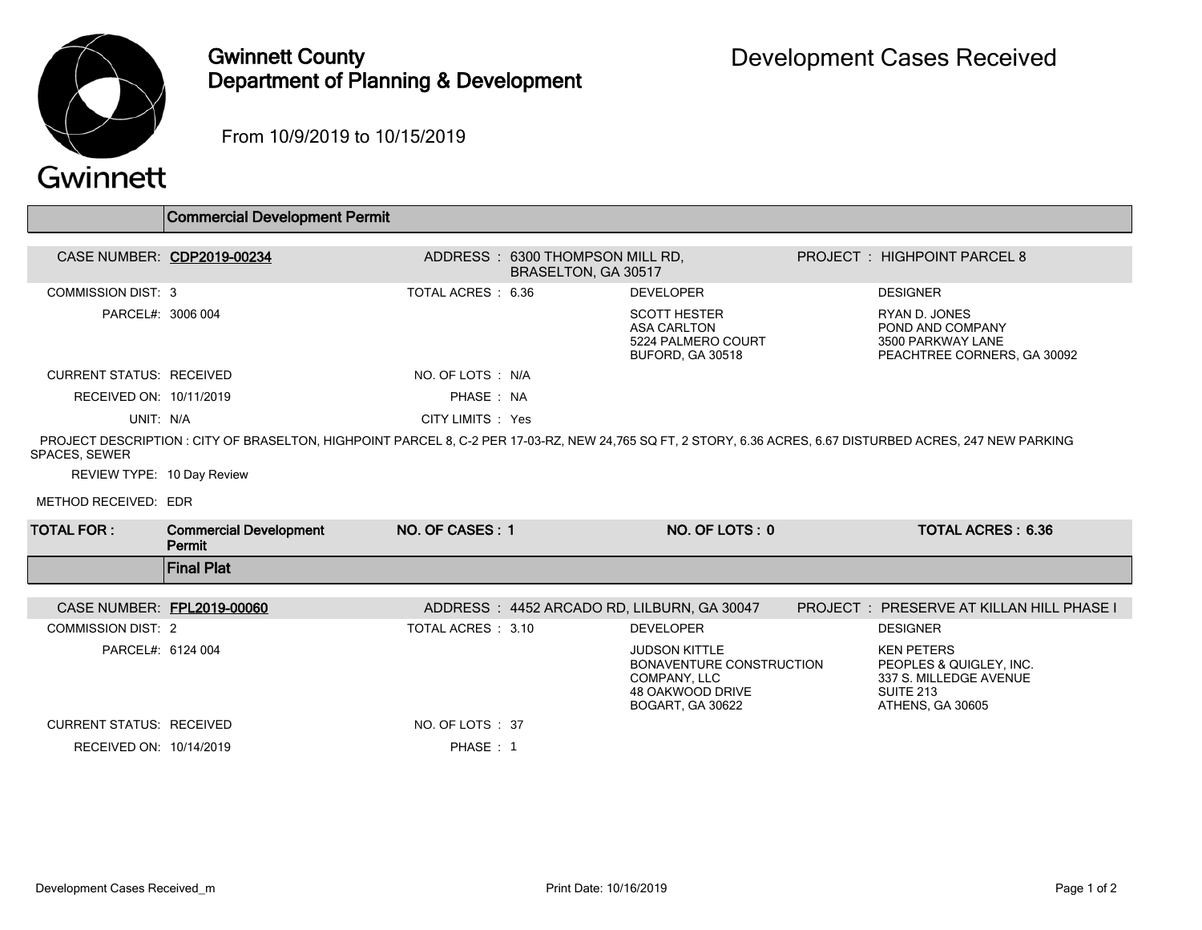

## Gwinnett County Department of Planning & Development

From 10/9/2019 to 10/15/2019

## Gwinnett

|                                 | <b>Commercial Development Permit</b>                                                                                                                       |                    |                                                        |                                                                                                          |                                                                                                         |
|---------------------------------|------------------------------------------------------------------------------------------------------------------------------------------------------------|--------------------|--------------------------------------------------------|----------------------------------------------------------------------------------------------------------|---------------------------------------------------------------------------------------------------------|
|                                 |                                                                                                                                                            |                    |                                                        |                                                                                                          |                                                                                                         |
|                                 | CASE NUMBER: CDP2019-00234                                                                                                                                 |                    | ADDRESS: 6300 THOMPSON MILL RD,<br>BRASELTON, GA 30517 |                                                                                                          | <b>PROJECT: HIGHPOINT PARCEL 8</b>                                                                      |
| <b>COMMISSION DIST: 3</b>       |                                                                                                                                                            | TOTAL ACRES: 6.36  |                                                        | <b>DEVELOPER</b>                                                                                         | <b>DESIGNER</b>                                                                                         |
| PARCEL#: 3006 004               |                                                                                                                                                            |                    |                                                        | <b>SCOTT HESTER</b><br><b>ASA CARLTON</b><br>5224 PALMERO COURT<br>BUFORD, GA 30518                      | RYAN D. JONES<br>POND AND COMPANY<br>3500 PARKWAY LANE<br>PEACHTREE CORNERS, GA 30092                   |
| <b>CURRENT STATUS: RECEIVED</b> |                                                                                                                                                            | NO. OF LOTS : N/A  |                                                        |                                                                                                          |                                                                                                         |
| RECEIVED ON: 10/11/2019         |                                                                                                                                                            | PHASE: NA          |                                                        |                                                                                                          |                                                                                                         |
| UNIT: N/A                       |                                                                                                                                                            | CITY LIMITS : Yes  |                                                        |                                                                                                          |                                                                                                         |
| SPACES, SEWER                   | PROJECT DESCRIPTION: CITY OF BRASELTON, HIGHPOINT PARCEL 8, C-2 PER 17-03-RZ, NEW 24.765 SQ FT, 2 STORY, 6.36 ACRES, 6.67 DISTURBED ACRES, 247 NEW PARKING |                    |                                                        |                                                                                                          |                                                                                                         |
| REVIEW TYPE: 10 Day Review      |                                                                                                                                                            |                    |                                                        |                                                                                                          |                                                                                                         |
| METHOD RECEIVED: EDR            |                                                                                                                                                            |                    |                                                        |                                                                                                          |                                                                                                         |
| <b>TOTAL FOR:</b>               | <b>Commercial Development</b><br>Permit                                                                                                                    | NO. OF CASES: 1    |                                                        | NO. OF LOTS: 0                                                                                           | <b>TOTAL ACRES: 6.36</b>                                                                                |
|                                 | <b>Final Plat</b>                                                                                                                                          |                    |                                                        |                                                                                                          |                                                                                                         |
| CASE NUMBER: FPL2019-00060      |                                                                                                                                                            |                    |                                                        | ADDRESS: 4452 ARCADO RD, LILBURN, GA 30047                                                               | <b>PROJECT: PRESERVE AT KILLAN HILL PHASE I</b>                                                         |
| <b>COMMISSION DIST: 2</b>       |                                                                                                                                                            | TOTAL ACRES : 3.10 |                                                        | <b>DEVELOPER</b>                                                                                         | <b>DESIGNER</b>                                                                                         |
| PARCEL#: 6124 004               |                                                                                                                                                            |                    |                                                        | <b>JUDSON KITTLE</b><br>BONAVENTURE CONSTRUCTION<br>COMPANY, LLC<br>48 OAKWOOD DRIVE<br>BOGART, GA 30622 | <b>KEN PETERS</b><br>PEOPLES & QUIGLEY, INC.<br>337 S. MILLEDGE AVENUE<br>SUITE 213<br>ATHENS, GA 30605 |
| <b>CURRENT STATUS: RECEIVED</b> |                                                                                                                                                            | NO. OF LOTS: 37    |                                                        |                                                                                                          |                                                                                                         |
| RECEIVED ON: 10/14/2019         |                                                                                                                                                            | PHASE: 1           |                                                        |                                                                                                          |                                                                                                         |